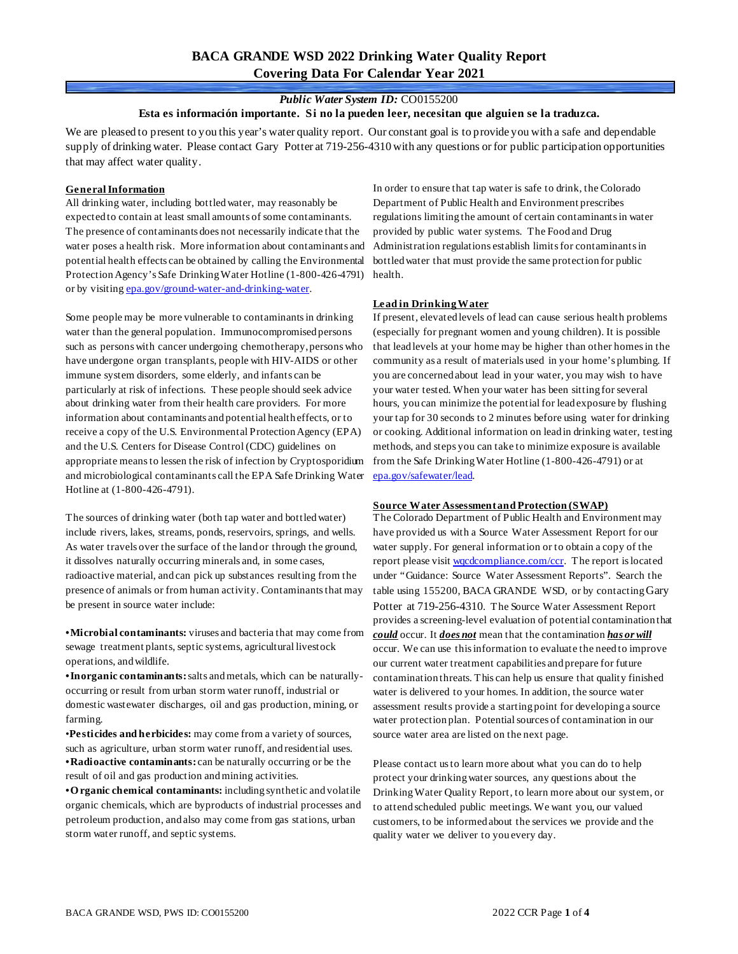# **BACA GRANDE WSD 2022 Drinking Water Quality Report Covering Data For Calendar Year 2021**

## *Public Water System ID:* CO0155200

**Esta es información importante. Si no la pueden leer, necesitan que alguien se la traduzca.**

We are pleased to present to you this year's water quality report. Our constant goal is to provide you with a safe and dependable supply of drinking water. Please contact Gary Potter at 719-256-4310 with any questions or for public participation opportunities that may affect water quality.

### **General Information**

All drinking water, including bottled water, may reasonably be expected to contain at least small amounts of some contaminants. The presence of contaminants does not necessarily indicate that the water poses a health risk. More information about contaminants and potential health effects can be obtained by calling the Environmental Protection Agency's Safe DrinkingWater Hotline (1-800-426-4791) health. or by visiting [epa.gov/ground-water-and-drinking-water.](https://www.epa.gov/ground-water-and-drinking-water)

Some people may be more vulnerable to contaminants in drinking water than the general population. Immunocompromised persons such as persons with cancer undergoing chemotherapy, persons who have undergone organ transplants, people with HIV-AIDS or other immune system disorders, some elderly, and infants can be particularly at risk of infections. These people should seek advice about drinking water from their health care providers. For more information about contaminants and potential health effects, or to receive a copy of the U.S. Environmental Protection Agency (EPA) and the U.S. Centers for Disease Control (CDC) guidelines on appropriate means to lessen the risk of infection by Cryptosporidium and microbiological contaminants call the EPA Safe Drinking Water Hotline at (1-800-426-4791).

The sources of drinking water (both tap water and bottled water) include rivers, lakes, streams, ponds, reservoirs, springs, and wells. As water travels over the surface of the land or through the ground, it dissolves naturally occurring minerals and, in some cases, radioactive material, and can pick up substances resulting from the presence of animals or from human activity. Contaminants that may be present in source water include:

**•Microbial contaminants:** viruses and bacteria that may come from sewage treatment plants, septic systems, agricultural livestock operations, and wildlife.

**•Inorganic contaminants:**salts and metals, which can be naturallyoccurring or result from urban storm water runoff, industrial or domestic wastewater discharges, oil and gas production, mining, or farming.

•**Pesticides and herbicides:** may come from a variety of sources, such as agriculture, urban storm water runoff, and residential uses. **•Radioactive contaminants:** can be naturally occurring or be the result of oil and gas production and mining activities.

**•O rganic chemical contaminants:** including synthetic and volatile organic chemicals, which are byproducts of industrial processes and petroleum production, and also may come from gas stations, urban storm water runoff, and septic systems.

In order to ensure that tap water is safe to drink, the Colorado Department of Public Health and Environment prescribes regulations limiting the amount of certain contaminants in water provided by public water systems. The Food and Drug Administration regulations establish limits for contaminants in bottled water that must provide the same protection for public

#### **Lead in Drinking Water**

If present, elevated levels of lead can cause serious health problems (especially for pregnant women and young children). It is possible that lead levels at your home may be higher than other homes in the community as a result of materials used in your home's plumbing. If you are concerned about lead in your water, you may wish to have your water tested. When your water has been sitting for several hours, you can minimize the potential for lead exposure by flushing your tap for 30 seconds to 2 minutes before using water for drinking or cooking. Additional information on lead in drinking water, testing methods, and steps you can take to minimize exposure is available from the Safe Drinking Water Hotline (1-800-426-4791) or at [epa.gov/safewater/lead.](http://www.epa.gov/safewater/lead) 

#### **Source Water Assessment and Protection (SWAP)**

The Colorado Department of Public Health and Environment may have provided us with a Source Water Assessment Report for our water supply. For general information or to obtain a copy of the report please visit wordcompliance.com/ccr. The report is located under "Guidance: Source Water Assessment Reports". Search the table using 155200, BACA GRANDE WSD, or by contacting Gary Potter at 719-256-4310. The Source Water Assessment Report provides a screening-level evaluation of potential contamination that *could* occur. It *does not* mean that the contamination *has or will* occur. We can use this information to evaluate the need to improve our current water treatment capabilities and prepare for future contamination threats. This can help us ensure that quality finished water is delivered to your homes. In addition, the source water assessment results provide a starting point for developing a source water protection plan. Potential sources of contamination in our source water area are listed on the next page.

Please contact us to learn more about what you can do to help protect your drinking water sources, any questions about the Drinking Water Quality Report, to learn more about our system, or to attend scheduled public meetings. We want you, our valued customers, to be informed about the services we provide and the quality water we deliver to you every day.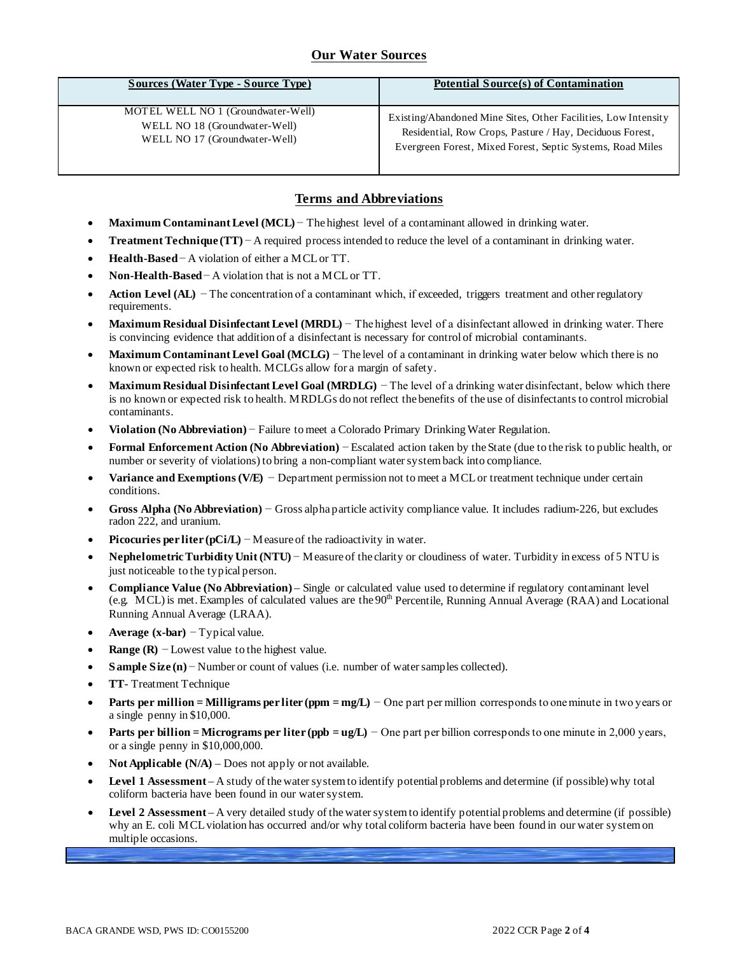## **Our Water Sources**

| Sources (Water Type - Source Type) | Potential Source(s) of Contamination                           |
|------------------------------------|----------------------------------------------------------------|
| MOTEL WELL NO 1 (Groundwater-Well) | Existing/Abandoned Mine Sites, Other Facilities, Low Intensity |
| WELL NO 18 (Groundwater-Well)      | Residential, Row Crops, Pasture / Hay, Deciduous Forest,       |
| WELL NO 17 (Groundwater-Well)      | Evergreen Forest, Mixed Forest, Septic Systems, Road Miles     |

## **Terms and Abbreviations**

- **Maximum Contaminant Level (MCL)** − The highest level of a contaminant allowed in drinking water.
- **Treatment Technique (TT)** − A required process intended to reduce the level of a contaminant in drinking water.
- **Health-Based**− A violation of either a MCL or TT.
- **Non-Health-Based**− A violation that is not a MCL or TT.
- **Action Level (AL)** − The concentration of a contaminant which, if exceeded, triggers treatment and other regulatory requirements.
- **Maximum Residual Disinfectant Level (MRDL)** − The highest level of a disinfectant allowed in drinking water. There is convincing evidence that addition of a disinfectant is necessary for control of microbial contaminants.
- **Maximum Contaminant Level Goal (MCLG)** − The level of a contaminant in drinking water below which there is no known or expected risk to health. MCLGs allow for a margin of safety.
- **Maximum Residual Disinfectant Level Goal (MRDLG)** − The level of a drinking water disinfectant, below which there is no known or expected risk to health. MRDLGs do not reflect the benefits of the use of disinfectants to control microbial contaminants.
- **Violation (No Abbreviation)** − Failure to meet a Colorado Primary Drinking Water Regulation.
- **Formal Enforcement Action (No Abbreviation)** − Escalated action taken by the State (due to the risk to public health, or number or severity of violations) to bring a non-compliant water system back into compliance.
- **Variance and Exemptions (V/E)** − Department permission not to meet a MCL or treatment technique under certain conditions.
- **Gross Alpha (No Abbreviation)** − Gross alpha particle activity compliance value. It includes radium-226, but excludes radon 222, and uranium.
- **Picocuries per liter (pCi/L)** − Measure of the radioactivity in water.
- **Nephelometric Turbidity Unit (NTU)** − Measure of the clarity or cloudiness of water. Turbidity in excess of 5 NTU is just noticeable to the typical person.
- **Compliance Value (No Abbreviation)** Single or calculated value used to determine if regulatory contaminant level (e.g. MCL) is met. Examples of calculated values are the  $90<sup>th</sup>$  Percentile, Running Annual Average (RAA) and Locational Running Annual Average (LRAA).
- **Average (x-bar)** − Typical value.
- **Range (R)**  $-$  Lowest value to the highest value.
- **Sample Size (n)** − Number or count of values (i.e. number of water samples collected).
- **TT** Treatment Technique
- **Parts per million = Milligrams per liter (ppm = mg/L)** − One part per million corresponds to one minute in two years or a single penny in \$10,000.
- **Parts per billion = Micrograms per liter (ppb = ug/L)** − One part per billion corresponds to one minute in 2,000 years, or a single penny in \$10,000,000.
- **Not Applicable**  $(N/A)$  Does not apply or not available.
- **Level 1 Assessment** A study of the water system to identify potential problems and determine (if possible) why total coliform bacteria have been found in our water system.
- **Level 2 Assessment** A very detailed study of the water system to identify potential problems and determine (if possible) why an E. coli MCL violation has occurred and/or why total coliform bacteria have been found in our water system on multiple occasions.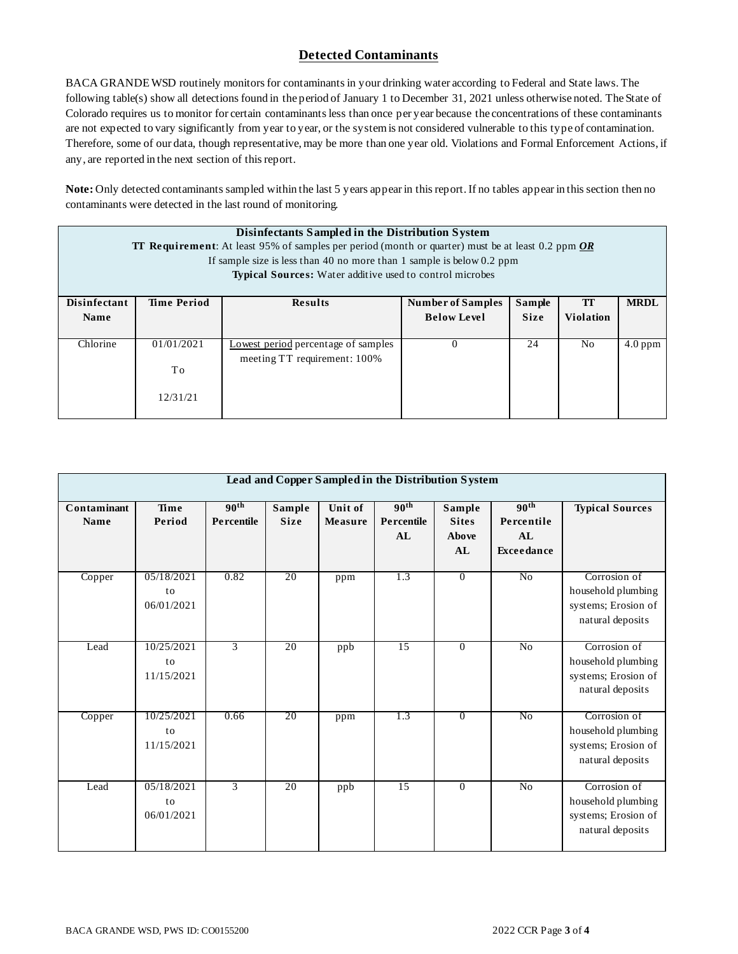## **Detected Contaminants**

BACA GRANDE WSD routinely monitors for contaminants in your drinking water according to Federal and State laws. The following table(s) show all detections found in the period of January 1 to December 31, 2021 unless otherwise noted. The State of Colorado requires us to monitor for certain contaminants less than once per year because the concentrations of these contaminants are not expected to vary significantly from year to year, or the system is not considered vulnerable to this type of contamination. Therefore, some of our data, though representative, may be more than one year old. Violations and Formal Enforcement Actions, if any, are reported in the next section of this report.

**Note:** Only detected contaminants sampled within the last 5 years appear in this report. If no tables appear in this section then no contaminants were detected in the last round of monitoring.

| Disinfectants Sampled in the Distribution System<br><b>TT Requirement:</b> At least 95% of samples per period (month or quarter) must be at least 0.2 ppm $\overline{OR}$<br>If sample size is less than 40 no more than 1 sample is below $0.2$ ppm<br>Typical Sources: Water additive used to control microbes |                              |                                                                     |                          |             |                  |             |  |  |  |
|------------------------------------------------------------------------------------------------------------------------------------------------------------------------------------------------------------------------------------------------------------------------------------------------------------------|------------------------------|---------------------------------------------------------------------|--------------------------|-------------|------------------|-------------|--|--|--|
| <b>Disinfectant</b>                                                                                                                                                                                                                                                                                              | <b>Time Period</b>           | <b>Results</b>                                                      | <b>Number of Samples</b> | Sample      |                  | <b>MRDL</b> |  |  |  |
| <b>Name</b>                                                                                                                                                                                                                                                                                                      |                              |                                                                     | <b>Below Level</b>       | <b>Size</b> | <b>Violation</b> |             |  |  |  |
| Chlorine                                                                                                                                                                                                                                                                                                         | 01/01/2021<br>To<br>12/31/21 | Lowest period percentage of samples<br>meeting TT requirement: 100% | $\left($                 | 24          | N <sub>o</sub>   | $4.0$ ppm   |  |  |  |

|                     | Lead and Copper Sampled in the Distribution System |                                |                       |                           |                                      |                                       |                                                    |                                                                               |  |  |
|---------------------|----------------------------------------------------|--------------------------------|-----------------------|---------------------------|--------------------------------------|---------------------------------------|----------------------------------------------------|-------------------------------------------------------------------------------|--|--|
| Contaminant<br>Name | Time<br>Period                                     | 90 <sup>th</sup><br>Percentile | Sample<br><b>Size</b> | Unit of<br><b>Measure</b> | 90 <sup>th</sup><br>Percentile<br>AI | Sample<br><b>Sites</b><br>Above<br>AL | 90 <sup>th</sup><br>Percentile<br>AL<br>Exceedance | <b>Typical Sources</b>                                                        |  |  |
| Copper              | 05/18/2021<br>to<br>06/01/2021                     | 0.82                           | 20                    | ppm                       | 1.3                                  | $\overline{0}$                        | No                                                 | Corrosion of<br>household plumbing<br>systems; Erosion of<br>natural deposits |  |  |
| Lead                | 10/25/2021<br>to<br>11/15/2021                     | $\overline{3}$                 | 20                    | ppb                       | $\overline{15}$                      | $\overline{0}$                        | $\overline{No}$                                    | Corrosion of<br>household plumbing<br>systems; Erosion of<br>natural deposits |  |  |
| Copper              | 10/25/2021<br>to<br>11/15/2021                     | 0.66                           | 20                    | ppm                       | 1.3                                  | $\overline{0}$                        | N <sub>0</sub>                                     | Corrosion of<br>household plumbing<br>systems; Erosion of<br>natural deposits |  |  |
| Lead                | 05/18/2021<br>to<br>06/01/2021                     | 3                              | 20                    | ppb                       | 15                                   | $\overline{0}$                        | $\overline{N_0}$                                   | Corrosion of<br>household plumbing<br>systems; Erosion of<br>natural deposits |  |  |